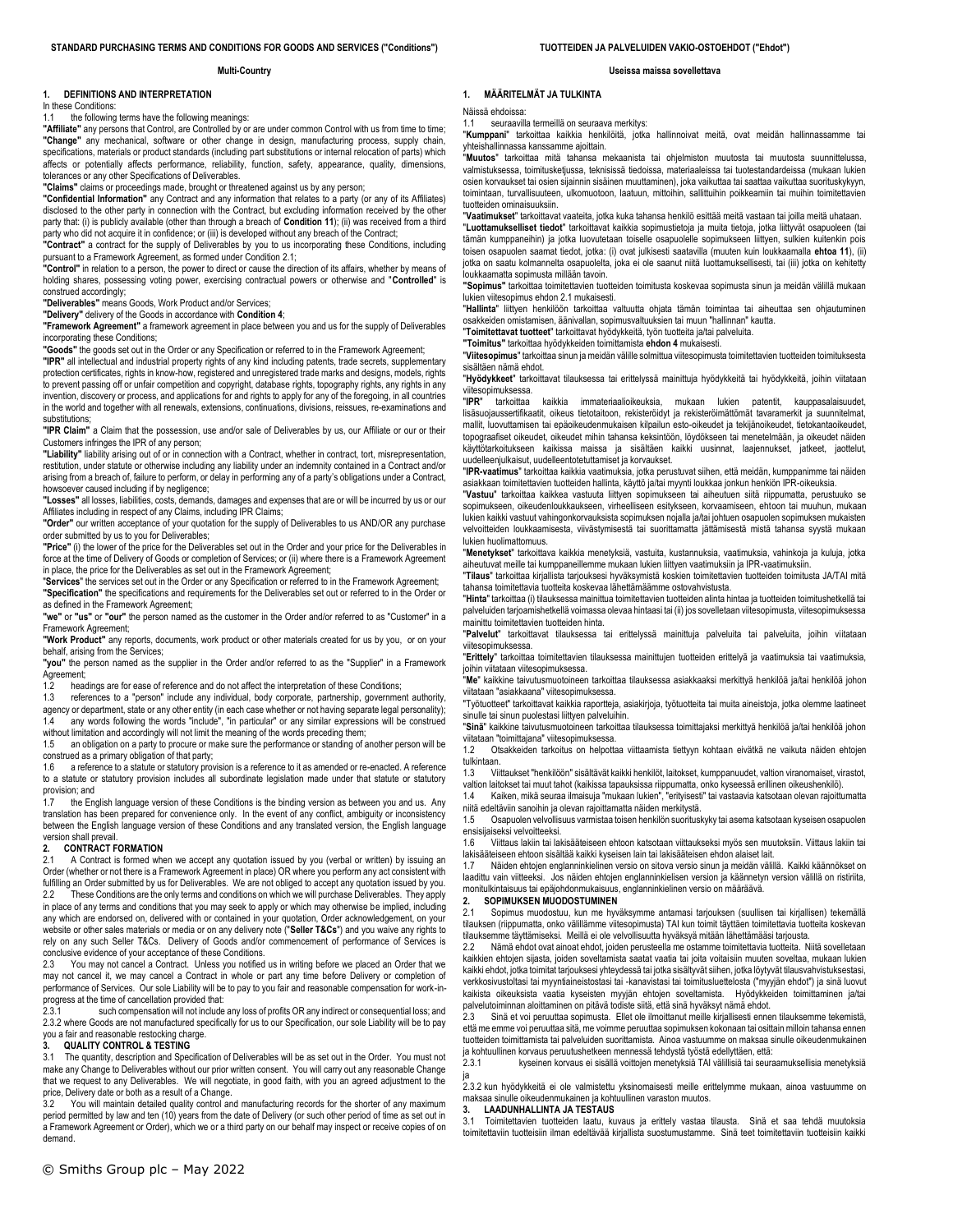#### **Multi-Country**

### **1. DEFINITIONS AND INTERPRETATION**

In these Conditions

1.1 the following terms have the following meanings:

**"Affiliate"** any persons that Control, are Controlled by or are under common Control with us from time to time; **"Change"** any mechanical, software or other change in design, manufacturing process, supply chain, specifications, materials or product standards (including part substitutions or internal relocation of parts) which affects or potentially affects performance, reliability, function, safety, appearance, quality, dimensions, tolerances or any other Specifications of Deliverables.

**"Claims"** claims or proceedings made, brought or threatened against us by any person;<br>**"Confidential Information"** any Contract and any information that relates to a party (or any of its Affiliates)<br>disclosed to the other party that: (i) is publicly available (other than through a breach of **Conditio[n 11](#page-3-0)**); (ii) was received from a third party who did not acquire it in confidence; or (iii) is developed without any breach of the Contract;

**"Contract"** a contract for the supply of Deliverables by you to us incorporating these Conditions, including

pursuant to a Framework Agreement, as formed under Conditio[n 2.1;](#page-0-0)  **"Control"** in relation to a person, the power to direct or cause the direction of its affairs, whether by means of holding shares, possessing voting power, exercising contractual powers or otherwise and "**Controlled**" is construed accordingly;

**"Deliverables"** means Goods, Work Product and/or Services;

**"Delivery"** delivery of the Goods in accordance with **Conditio[n 4](#page-1-0)**;

**"Framework Agreement"** a framework agreement in place between you and us for the supply of Deliverables incorporating these Conditions;

**"Goods"** the goods set out in the Order or any Specification or referred to in the Framework Agreement;

**"IPR"** all intellectual and industrial property rights of any kind including patents, trade secrets, supplementary protection certificates, rights in know-how, registered and unregistered trade marks and designs, models, rights to prevent passing off or unfair competition and copyright, database rights, topography rights, any rights in any invention, discovery or process, and applications for and rights to apply for any of the foregoing, in all countries in the world and together with all renewals, extensions, continuations, divisions, reissues, re-examinations and substitutions:

**"IPR Claim"** a Claim that the possession, use and/or sale of Deliverables by us, our Affiliate or our or their Customers infringes the IPR of any person;

**"Liability"** liability arising out of or in connection with a Contract, whether in contract, tort, misrepresentation, restitution, under statute or otherwise including any liability under an indemnity contained in a Contract and/or arising from a breach of, failure to perform, or delay in performing any of a party's obligations under a Contract, howsoever caused including if by negligence;

**"Losses"** all losses, liabilities, costs, demands, damages and expenses that are or will be incurred by us or our Affiliates including in respect of any Claims, including IPR Claims;

**"Order"** our written acceptance of your quotation for the supply of Deliverables to us AND/OR any purchase order submitted by us to you for Deliverables;

**"Price"** (i) the lower of the price for the Deliverables set out in the Order and your price for the Deliverables in force at the time of Delivery of Goods or completion of Services; or (ii) where there is a Framework Agreement in place, the price for the Deliverables as set out in the Framework Agreement;

"**Services**" the services set out in the Order or any Specification or referred to in the Framework Agreement; **"Specification"** the specifications and requirements for the Deliverables set out or referred to in the Order or as defined in the Framework Agreement;

**"we"** or **"us"** or **"our"** the person named as the customer in the Order and/or referred to as "Customer" in a Framework Agreement;

**"Work Product"** any reports, documents, work product or other materials created for us by you, or on your behalf, arising from the Services;

**"you"** the person named as the supplier in the Order and/or referred to as the "Supplier" in a Framework Agreement;<br>1.2 head

headings are for ease of reference and do not affect the interpretation of these Conditions;

1.3 references to a "person" include any individual, body corporate, partnership, government authority,

agency or department, state or any other entity (in each case whether or not having separate legal personality); 1.4 any words following the words "include", "in particular" or any similar expressions will be construed

without limitation and accordingly will not limit the meaning of the words preceding them;

1.5 an obligation on a party to procure or make sure the performance or standing of another person will be construed as a primary obligation of that party;

1.6 a reference to a statute or statutory provision is a reference to it as amended or re-enacted. A reference to a statute or statutory provision includes all subordinate legislation made under that statute or statutory provision; and

1.7 the English language version of these Conditions is the binding version as between you and us. Any translation has been prepared for convenience only. In the event of any conflict, ambiguity or inconsistency between the English language version of these Conditions and any translated version, the English language version shall prevail.

### **2. CONTRACT FORMATION**<br>2.1 A Contract is formed wh

2.1 A Contract is formed when we accept any quotation issued by you (verbal or written) by issuing an Order (whether or not there is a Framework Agreement in place) OR where you perform any act consistent with fulfilling an Order submitted by us for Deliverables. We are not obliged to accept any quotation issued by you.<br>2.2 These Conditions are the only terms and conditions on which we will purchase Deliverables. They apply These Conditions are the only terms and conditions on which we will purchase Deliverables. They apply in place of any terms and conditions that you may seek to apply or which may otherwise be implied, including any which are endorsed on, delivered with or contained in your quotation, Order acknowledgement, on your website or other sales materials or media or on any delivery note ("**Seller T&Cs**") and you waive any rights to rely on any such Seller T&Cs. Delivery of Goods and/or commencement of performance of Services is

conclusive evidence of your acceptance of these Conditions.<br>2.3 You may not cancel a Contract Linless you notified You may not cancel a Contract. Unless you notified us in writing before we placed an Order that we may not cancel it, we may cancel a Contract in whole or part any time before Delivery or completion of performance of Services. Our sole Liability will be to pay to you fair and reasonable compensation for work-inprogress at the time of cancellation provided that:

2.3.1 such compensation will not include any loss of profits OR any indirect or consequential loss; and 2.3.2 where Goods are not manufactured specifically for us to our Specification, our sole Liability will be to pay you a fair and reasonable restocking charge.<br>3 OIJALITY CONTROL & TESTING

### **3. QUALITY CONTROL & TESTING**<br>**3.1** The quantity, description and Spec

The quantity, description and Specification of Deliverables will be as set out in the Order. You must not make any Change to Deliverables without our prior written consent. You will carry out any reasonable Change that we request to any Deliverables. We will negotiate, in good faith, with you an agreed adjustment to the price, Delivery date or both as a result of a Change.

3.2 You will maintain detailed quality control and manufacturing records for the shorter of any maximum period permitted by law and ten (10) years from the date of Delivery (or such other period of time as set out in a Framework Agreement or Order), which we or a third party on our behalf may inspect or receive copies of on demand.

#### **Useissa maissa sovellettava**

### **1. MÄÄRITELMÄT JA TULKINTA**

Näissä ehdoissa:

seuraavilla termeillä on seuraava merkitys:

"**Kumppani**" tarkoittaa kaikkia henkilöitä, jotka hallinnoivat meitä, ovat meidän hallinnassamme tai yhteishallinnassa kanssamme ajoittain.

"**Muutos**" tarkoittaa mitä tahansa mekaanista tai ohjelmiston muutosta tai muutosta suunnittelussa, valmistuksessa, toimitusketjussa, teknisissä tiedoissa, materiaaleissa tai tuotestandardeissa (mukaan lukien osien korvaukset tai osien sijainnin sisäinen muuttaminen), joka vaikuttaa tai saattaa vaikuttaa suorituskykyyn, toimintaan, turvallisuuteen, ulkomuotoon, laatuun, mittoihin, sallittuihin poikkeamiin tai muihin toimitettavien tuotteiden ominaisuuksiin.

"**Vaatimukset**" tarkoittavat vaateita, jotka kuka tahansa henkilö esittää meitä vastaan tai joilla meitä uhataan. "**Luottamukselliset tiedot**" tarkoittavat kaikkia sopimustietoja ja muita tietoja, jotka liittyvät osapuoleen (tai tämän kumppaneihin) ja jotka luovutetaan toiselle osapuolelle sopimukseen liittyen, sulkien kuitenkin pois toisen osapuolen saamat tiedot, jotka: (i) ovat julkisesti saatavilla (muuten kuin loukkaamalla **ehto[a 11](#page-3-0)**), (ii) jotka on saatu kolmannelta osapuolelta, joka ei ole saanut niitä luottamuksellisesti, tai (iii) jotka on kehitetty loukkaamatta sopimusta millään tavoin.

**"Sopimus"** tarkoittaa toimitettavien tuotteiden toimitusta koskevaa sopimusta sinun ja meidän välillä mukaan lukien viitesopimus ehdo[n 2.1](#page-0-0) mukaisesti.

"**Hallinta**" liittyen henkilöön tarkoittaa valtuutta ohjata tämän toimintaa tai aiheuttaa sen ohjautuminen osakkeiden omistamisen, äänivallan, sopimusvaltuuksien tai muun "hallinnan" kautta.

"**Toimitettavat tuotteet**" tarkoittavat hyödykkeitä, työn tuotteita ja/tai palveluita.

**"Toimitus"** tarkoittaa hyödykkeiden toimittamista **ehdo[n 4](#page-1-0)** mukaisesti. "**Viitesopimus**" tarkoittaa sinun ja meidän välille solmittua viitesopimusta toimitettavien tuotteiden toimituksesta

sisältäen nämä ehdot. "**Hyödykkeet**" tarkoittavat tilauksessa tai erittelyssä mainittuja hyödykkeitä tai hyödykkeitä, joihin viitataan

viitesopimuksessa.<br>"**IPR**" tarkoittaa kaikkia immateriaalioikeuksia, mukaan lukien patentit, kauppasalaisuudet, lisäsuojaussertifikaatit, oikeus tietotaitoon, rekisteröidyt ja rekisteröimättömät tavaramerkit ja suunnitelmat, mallit, luovuttamisen tai epäoikeudenmukaisen kilpailun esto-oikeudet ja tekijänoikeudet, tietokantaoikeudet, topograafiset oikeudet, oikeudet mihin tahansa keksintöön, löydökseen tai menetelmään, ja oikeudet näiden käyttötarkoitukseen kaikissa maissa ja sisältäen kaikki uusinnat, laajennukset, jatkeet, jaottelut, uudelleenjulkaisut, uudelleentotetuttamiset ja korvaukset.

"**IPR-vaatimus**" tarkoittaa kaikkia vaatimuksia, jotka perustuvat siihen, että meidän, kumppanimme tai näiden asiakkaan toimitettavien tuotteiden hallinta, käyttö ja/tai myynti loukkaa jonkun henkiön IPR-oikeuksia.

"**Vastuu**" tarkoittaa kaikkea vastuuta liittyen sopimukseen tai aiheutuen siitä riippumatta, perustuuko se sopimukseen, oikeudenloukkaukseen, virheelliseen esitykseen, korvaamiseen, ehtoon tai muuhun, mukaan lukien kaikki vastuut vahingonkorvauksista sopimuksen nojalla ja/tai johtuen osapuolen sopimuksen mukaisten velvoitteiden loukkaamisesta, viivästymisestä tai suorittamatta jättämisestä mistä tahansa syystä mukaan lukien huolimattomuus.

"**Menetykset**" tarkoittava kaikkia menetyksiä, vastuita, kustannuksia, vaatimuksia, vahinkoja ja kuluja, jotka aiheutuvat meille tai kumppaneillemme mukaan lukien liittyen vaatimuksiin ja IPR-vaatimuksiin.

"**Tilaus**" tarkoittaa kirjallista tarjouksesi hyväksymistä koskien toimitettavien tuotteiden toimitusta JA/TAI mitä tahansa toimitettavia tuotteita koskevaa lähettämäämme ostovahvistusta.

"**Hinta**" tarkoittaa (i) tilauksessa mainittua toimitettavien tuotteiden alinta hintaa ja tuotteiden toimitushetkellä tai palveluiden tarjoamishetkellä voimassa olevaa hintaasi tai (ii) jos sovelletaan viitesopimusta, viitesopimuksessa mainittu toimitettavien tuotteiden hinta.

"**Palvelut**" tarkoittavat tilauksessa tai erittelyssä mainittuja palveluita tai palveluita, joihin viitataan viitesopimuksessa.

"**Erittely**" tarkoittaa toimitettavien tilauksessa mainittujen tuotteiden erittelyä ja vaatimuksia tai vaatimuksia, joihin viitataan viitesopimuksessa.

"**Me**" kaikkine taivutusmuotoineen tarkoittaa tilauksessa asiakkaaksi merkittyä henkilöä ja/tai henkilöä johon viitataan "asiakkaana" viitesopimuksessa.

"Työtuotteet" tarkoittavat kaikkia raportteja, asiakirjoja, työtuotteita tai muita aineistoja, jotka olemme laatineet sinulle tai sinun puolestasi liittyen palveluihin.

"**Sinä**" kaikkine taivutusmuotoineen tarkoittaa tilauksessa toimittajaksi merkittyä henkilöä ja/tai henkilöä johon viitataan "toimittajana" viitesopimuksessa.

1.2 Otsakkeiden tarkoitus on helpottaa viittaamista tiettyyn kohtaan eivätkä ne vaikuta näiden ehtojen tulkintaan.

1.3 Viittaukset "henkilöön" sisältävät kaikki henkilöt, laitokset, kumppanuudet, valtion viranomaiset, virastot, valtion laitokset tai muut tahot (kaikissa tapauksissa riippumatta, onko kyseessä erillinen oikeushenkilö).

1.4 Kaiken, mikä seuraa ilmaisuja "mukaan lukien", "erityisesti" tai vastaavia katsotaan olevan rajoittumatta niitä edeltäviin sanoihin ja olevan rajoittamatta näiden merkitystä.

1.5 Osapuolen velvollisuus varmistaa toisen henkilön suorituskyky tai asema katsotaan kyseisen osapuolen ensisijaiseksi velvoitteeksi.

1.6 Viittaus lakiin tai lakisääteiseen ehtoon katsotaan viittaukseksi myös sen muutoksiin. Viittaus lakiin tai lakisääteiseen ehtoon sisältää kaikki kyseisen lain tai lakisääteisen ehdon alaiset lait.

Näiden ehtojen englanninkielinen versio on sitova versio sinun ja meidän välillä. Kaikki käännökset on laadittu vain viitteeksi. Jos näiden ehtojen englanninkielisen version ja käännetyn version välillä on ristiriita, monitulkintaisuus tai epäjohdonmukaisuus, englanninkielinen versio on määräävä.

### **2. SOPIMUKSEN MUODOSTUMINEN**<br>2.1 Sopimus muodostuu, kun me hyv

<span id="page-0-0"></span>Sopimus muodostuu, kun me hyväksymme antamasi tarjouksen (suullisen tai kirjallisen) tekemällä tilauksen (riippumatta, onko välillämme viitesopimusta) TAI kun toimit täyttäen toimitettavia tuotteita koskevan tilauksemme täyttämiseksi. Meillä ei ole velvollisuutta hyväksyä mitään lähettämääsi tarjousta.

2.2 Nämä ehdot ovat ainoat ehdot, joiden perusteella me ostamme toimitettavia tuotteita. Niitä sovelletaan kaikkien ehtojen sijasta, joiden soveltamista saatat vaatia tai joita voitaisiin muuten soveltaa, mukaan lukien kaikki ehdot, jotka toimitat tarjouksesi yhteydessä tai jotka sisältyvät siihen, jotka löytyvät tilausvahvistuksestasi, verkkosivustoltasi tai myyntiaineistostasi tai -kanavistasi tai toimitusluettelosta ("myyjän ehdot") ja sinä luovut kaikista oikeuksista vaatia kyseisten myyjän ehtojen soveltamista. Hyödykkeiden toimittaminen ja/tai palvelutoiminnan aloittaminen on pitävä todiste siitä, että sinä hyväksyt nämä ehdot.

2.3 Sinä et voi peruuttaa sopimusta. Ellet ole ilmoittanut meille kirjallisesti ennen tilauksemme tekemistä, että me emme voi peruuttaa sitä, me voimme peruuttaa sopimuksen kokonaan tai osittain milloin tahansa ennen tuotteiden toimittamista tai palveluiden suorittamista. Ainoa vastuumme on maksaa sinulle oikeudenmukainen ja kohtuullinen korvaus peruutushetkeen mennessä tehdystä työstä edellyttäen, että:

2.3.1 kyseinen korvaus ei sisällä voittojen menetyksiä TAI välillisiä tai seuraamuksellisia menetyksiä ja

2.3.2 kun hyödykkeitä ei ole valmistettu yksinomaisesti meille erittelymme mukaan, ainoa vastuumme on maksaa sinulle oikeudenmukainen ja kohtuullinen varaston muutos.

#### **3. LAADUNHALLINTA JA TESTAUS**

3.1 Toimitettavien tuotteiden laatu, kuvaus ja erittely vastaa tilausta. Sinä et saa tehdä muutoksia toimitettaviin tuotteisiin ilman edeltävää kirjallista suostumustamme. Sinä teet toimitettaviin tuotteisiin kaikki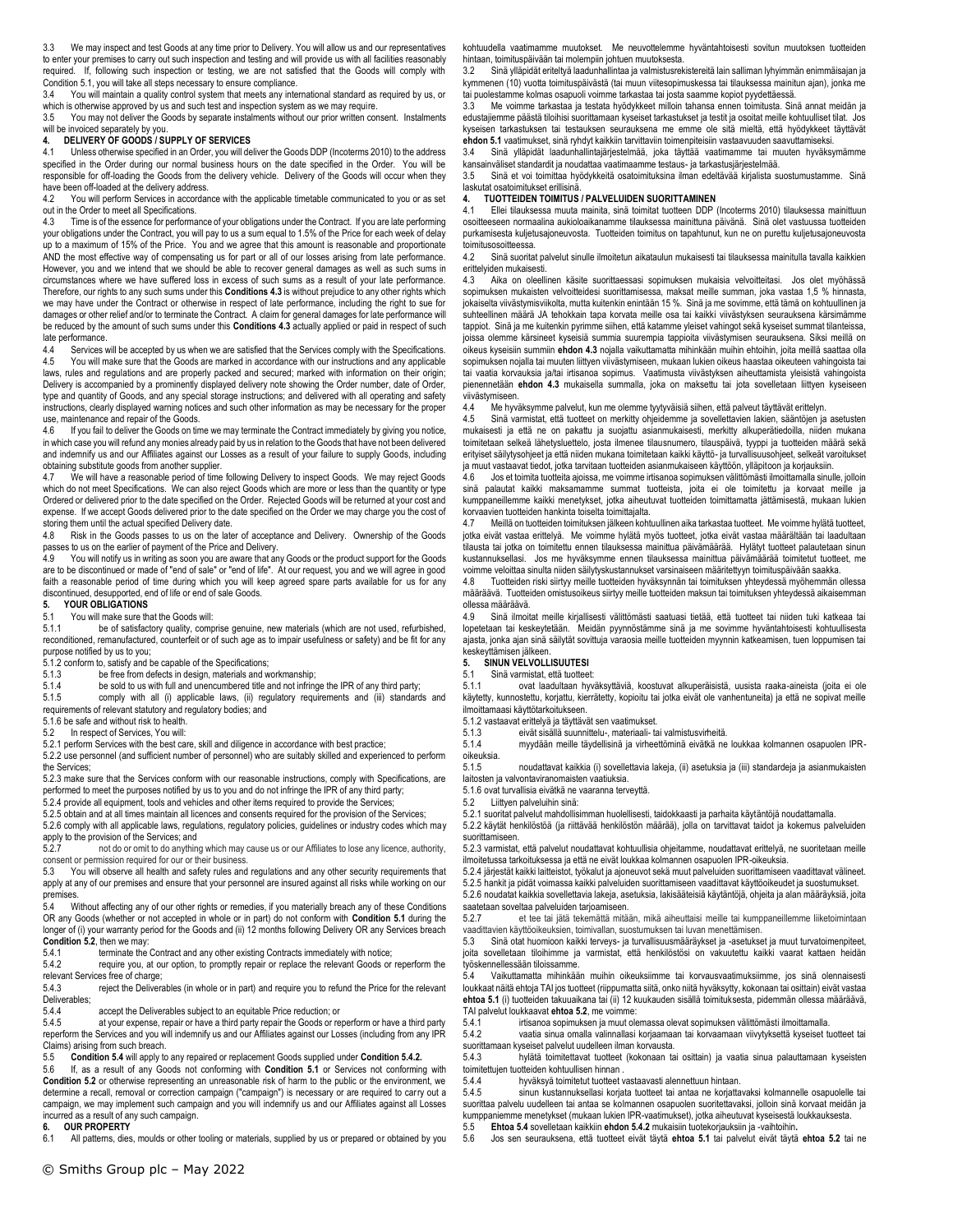3.3 We may inspect and test Goods at any time prior to Delivery. You will allow us and our representatives to enter your premises to carry out such inspection and testing and will provide us with all facilities reasonably required. If, following such inspection or testing, we are not satisfied that the Goods will comply with Condition [5.1,](#page-1-1) you will take all steps necessary to ensure compliance.

You will maintain a quality control system that meets any international standard as required by us, or which is otherwise approved by us and such test and inspection system as we may require.

3.5 You may not deliver the Goods by separate instalments without our prior written consent. Instalments will be invoiced separately by you.

#### **4. DELIVERY OF GOODS / SUPPLY OF SERVICES**

4.1 Unless otherwise specified in an Order, you will deliver the Goods DDP (Incoterms 2010) to the address specified in the Order during our normal business hours on the date specified in the Order. You will be responsible for off-loading the Goods from the delivery vehicle. Delivery of the Goods will occur when they have been off-loaded at the delivery address.

4.2 You will perform Services in accordance with the applicable timetable communicated to you or as set out in the Order to meet all Specifications.<br>4.3 Time is of the essence for performa

Time is of the essence for performance of your obligations under the Contract. If you are late performing your obligations under the Contract, you will pay to us a sum equal to 1.5% of the Price for each week of delay up to a maximum of 15% of the Price. You and we agree that this amount is reasonable and proportionate AND the most effective way of compensating us for part or all of our losses arising from late performance. However, you and we intend that we should be able to recover general damages as well as such sums in circumstances where we have suffered loss in excess of such sums as a result of your late performance. Therefore, our rights to any such sums under this **Condition[s 4.3](#page-1-2)** is without prejudice to any other rights which we may have under the Contract or otherwise in respect of late performance, including the right to sue for damages or other relief and/or to terminate the Contract. A claim for general damages for late performance will be reduced by the amount of such sums under this **Condition[s 4.3](#page-1-2)** actually applied or paid in respect of such late performance.<br>4.4 Services v

4.4 Services will be accepted by us when we are satisfied that the Services comply with the Specifications.<br>4.5 You will make sure that the Goods are marked in accordance with our instructions and any applicable You will make sure that the Goods are marked in accordance with our instructions and any applicable laws, rules and regulations and are properly packed and secured; marked with information on their origin; Delivery is accompanied by a prominently displayed delivery note showing the Order number, date of Order, type and quantity of Goods, and any special storage instructions; and delivered with all operating and safety instructions, clearly displayed warning notices and such other information as may be necessary for the proper use, maintenance and repair of the Goods.<br>4.6 If you fail to deliver the Goods on tin

If you fail to deliver the Goods on time we may terminate the Contract immediately by giving you notice, in which case you will refund any monies already paid by us in relation to the Goods that have not been delivered and indemnify us and our Affiliates against our Losses as a result of your failure to supply Goods, including obtaining substitute goods from another supplier.<br>4.7 We will have a reasonable period of time

4.7 We will have a reasonable period of time following Delivery to inspect Goods. We may reject Goods which do not meet Specifications. We can also reject Goods which are more or less than the quantity or type Ordered or delivered prior to the date specified on the Order. Rejected Goods will be returned at your cost and expense. If we accept Goods delivered prior to the date specified on the Order we may charge you the cost of storing them until the actual specified Delivery date.

4.8 Risk in the Goods passes to us on the later of acceptance and Delivery. Ownership of the Goods passes to us on the earlier of payment of the Price and Delivery.<br>4.9 You will notify us in writing as soon you are aware that an

You will notify us in writing as soon you are aware that any Goods or the product support for the Goods are to be discontinued or made of "end of sale" or "end of life". At our request, you and we will agree in good faith a reasonable period of time during which you will keep agreed spare parts available for us for any discontinued, desupported, end of life or end of sale Goods.

#### **5. YOUR OBLIGATIONS**

5.1 You will make sure that the Goods will:<br>5.1.1 be of satisfactory quality, comp

be of satisfactory quality, comprise genuine, new materials (which are not used, refurbished, reconditioned, remanufactured, counterfeit or of such age as to impair usefulness or safety) and be fit for any purpose notified by us to you;

5.1.2 conform to, satisfy and be capable of the Specifications;<br>5.1.3 be free from defects in design materials and w

5.1.3 be free from defects in design, materials and workmanship;<br>5.1.4 be sold to us with full and unencumbered title and not infrinc

be sold to us with full and unencumbered title and not infringe the IPR of any third party;

5.1.5 comply with all (i) applicable laws, (ii) regulatory requirements and (iii) standards and requirements of relevant statutory and regulatory bodies; and 5.1.6 be safe and without risk to health.

5.2 In respect of Services, You will:

5.2.1 perform Services with the best care, skill and diligence in accordance with best practice;

5.2.2 use personnel (and sufficient number of personnel) who are suitably skilled and experienced to perform the Services;

5.2.3 make sure that the Services conform with our reasonable instructions, comply with Specifications, are performed to meet the purposes notified by us to you and do not infringe the IPR of any third party;

5.2.4 provide all equipment, tools and vehicles and other items required to provide the Services;

5.2.5 obtain and at all times maintain all licences and consents required for the provision of the Services;

5.2.6 comply with all applicable laws, regulations, regulatory policies, guidelines or industry codes which may apply to the provision of the Services; and

5.2.7 not do or omit to do anything which may cause us or our Affiliates to lose any licence, authority,

consent or permission required for our or their business.<br>5.3. You will observe all health and safety rules and 5.3 You will observe all health and safety rules and regulations and any other security requirements that apply at any of our premises and ensure that your personnel are insured against all risks while working on our premises.

5.4 Without affecting any of our other rights or remedies, if you materially breach any of these Conditions OR any Goods (whether or not accepted in whole or in part) do not conform with **Conditio[n 5.1](#page-1-1)** during the longer of (i) your warranty period for the Goods and (ii) 12 months following Delivery OR any Services breach **Conditio[n 5.2](#page-1-3)**, then we may:<br>5.4.1 terminate the

5.4.1 terminate the Contract and any other existing Contracts immediately with notice;<br>5.4.2 require vou, at our option, to promptly repair or replace the relevant Goods or

require you, at our option, to promptly repair or replace the relevant Goods or reperform the relevant Services free of charge;

5.4.3 reject the Deliverables (in whole or in part) and require you to refund the Price for the relevant Deliverables;

5.4.4 accept the Deliverables subject to an equitable Price reduction; or 5.4.5 at your expense, repair or have a third party repair the Goods or re

at your expense, repair or have a third party repair the Goods or reperform or have a third party reperform the Services and you will indemnify us and our Affiliates against our Losses (including from any IPR Claims) arising from such breach.<br>5.5 **Condition 5.4** will apply to

5.5 **Conditio[n 5.4](#page-1-4)** will apply to any repaired or replacement Goods supplied under **Conditio[n 5.4.2.](#page-1-5)**

5.6 If, as a result of any Goods not conforming with **Condition [5.1](#page-1-1)** or Services not conforming with **Conditio[n 5.2](#page-1-3)** or otherwise representing an unreasonable risk of harm to the public or the environment, we determine a recall, removal or correction campaign ("campaign") is necessary or are required to carry out a campaign, we may implement such campaign and you will indemnify us and our Affiliates against all Losses incurred as a result of any such campaign.

**6. OUR PROPERTY**

6.1 All patterns, dies, moulds or other tooling or materials, supplied by us or prepared or obtained by you

kohtuudella vaatimamme muutokset. Me neuvottelemme hyväntahtoisesti sovitun muutoksen tuotteiden hintaan, toimituspäivään tai molempiin johtuen muutoksesta.

3.2 Sinä ylläpidät eriteltyä laadunhallintaa ja valmistusrekistereitä lain salliman lyhyimmän enimmäisajan ja kymmenen (10) vuotta toimituspäivästä (tai muun viitesopimuskessa tai tilauksessa mainitun ajan), jonka me tai puolestamme kolmas osapuoli voimme tarkastaa tai josta saamme kopiot pyydettäessä.

3.3 Me voimme tarkastaa ja testata hyödykkeet milloin tahansa ennen toimitusta. Sinä annat meidän ja edustajiemme päästä tiloihisi suorittamaan kyseiset tarkastukset ja testit ja osoitat meille kohtuulliset tilat. Jos kyseisen tarkastuksen tai testauksen seurauksena me emme ole sitä mieltä, että hyödykkeet täyttävät **ehdon [5.1](#page-1-1)** vaatimukset, sinä ryhdyt kaikkiin tarvittaviin toimenpiteisiin vastaavuuden saavuttamiseksi.<br>3.4 Sinä viläpidät laadunhallintajäriestelmää, joka täyttää vaatimamme tai muuten hyväksi

3.4 Sinä ylläpidät laadunhallintajärjestelmää, joka täyttää vaatimamme tai muuten hyväksymämme kansainväliset standardit ja noudattaa vaatimaamme testaus- ja tarkastusjärjestelmää.<br>3.5 Sinä et voi toimittaa hyödykkeitä osatoimituksina ilman edeltävää kirjalista su

3.5 Sinä et voi toimittaa hyödykkeitä osatoimituksina ilman edeltävää kirjalista suostumustamme. Sinä laskutat osatoimitukset erillisinä.

# <span id="page-1-0"></span>**4. TUOTTEIDEN TOIMITUS / PALVELUIDEN SUORITTAMINEN**

4.1 Ellei tilauksessa muuta mainita, sinä toimitat tuotteen DDP (Incoterms 2010) tilauksessa mainittuun osoitteeseen normaalina aukioloaikanamme tilauksessa mainittuna päivänä. Sinä olet vastuussa tuotteiden purkamisesta kuljetusajoneuvosta. Tuotteiden toimitus on tapahtunut, kun ne on purettu kuljetusajoneuvosta toimitusosoitteessa.

4.2 Sinä suoritat palvelut sinulle ilmoitetun aikataulun mukaisesti tai tilauksessa mainitulla tavalla kaikkien erittelyiden mukaisesti.<br>4.3. Aika on oleelli

<span id="page-1-2"></span>4.3 Aika on oleellinen käsite suorittaessasi sopimuksen mukaisia velvoitteitasi. Jos olet myöhässä sopimuksen mukaisten velvoitteidesi suorittamisessa, maksat meille summan, joka vastaa 1,5 % hinnasta, jokaiselta viivästymisviikolta, mutta kuitenkin enintään 15 %. Sinä ja me sovimme, että tämä on kohtuullinen ja suhteellinen määrä JA tehokkain tapa korvata meille osa tai kaikki viivästyksen seurauksena kärsimämme tappiot. Sinä ja me kuitenkin pyrimme siihen, että katamme yleiset vahingot sekä kyseiset summat tilanteissa, joissa olemme kärsineet kyseisiä summia suurempia tappioita viivästymisen seurauksena. Siksi meillä on oikeus kyseisiin summiin **ehdo[n 4.3](#page-1-2)** nojalla vaikuttamatta mihinkään muihin ehtoihin, joita meillä saattaa olla sopimuksen nojalla tai muuten liittyen viivästymiseen, mukaan lukien oikeus haastaa oikeuteen vahingoista tai tai vaatia korvauksia ja/tai irtisanoa sopimus. Vaatimusta viivästyksen aiheuttamista yleisistä vahingoista pienennetään **ehdon [4.3](#page-1-2)** mukaisella summalla, joka on maksettu tai jota sovelletaan liittyen kyseiseen viivästymiseen.

4.4 Me hyväksymme palvelut, kun me olemme tyytyväisiä siihen, että palveut täyttävät erittelyn.

Sinä varmistat, että tuotteet on merkitty ohjeidemme ja sovellettavien lakien, sääntöjen ja asetusten mukaisesti ja että ne on pakattu ja suojattu asianmukaisesti, merkitty alkuperätiedoilla, niiden mukana toimitetaan selkeä lähetysluettelo, josta ilmenee tilausnumero, tilauspäivä, tyyppi ja tuotteiden määrä sekä erityiset säilytysohjeet ja että niiden mukana toimitetaan kaikki käyttö- ja turvallisuusohjeet, selkeät varoitukset ja muut vastaavat tiedot, jotka tarvitaan tuotteiden asianmukaiseen käyttöön, ylläpitoon ja korjauksiin.<br>46 – Jos et toimita tuotteita ajoissa me voimme irtisanoa sopimuksen välittömästi ilmoittamalla sinul

4.6 Jos et toimita tuotteita ajoissa, me voimme irtisanoa sopimuksen välittömästi ilmoittamalla sinulle, jolloin sinä palautat kaikki maksamamme summat tuotteista, joita ei ole toimitettu ja korvaat meille ja kumppaneillemme kaikki menetykset, jotka aiheutuvat tuotteiden toimittamatta jättämisestä, mukaan lukien korvaavien tuotteiden hankinta toiselta toimittajalta.

4.7 Meillä on tuotteiden toimituksen jälkeen kohtuullinen aika tarkastaa tuotteet. Me voimme hylätä tuotteet, jotka eivät vastaa erittelyä. Me voimme hylätä myös tuotteet, jotka eivät vastaa määrältään tai laadultaan tilausta tai jotka on toimitettu ennen tilauksessa mainittua päivämäärää. Hylätyt tuotteet palautetaan sinun kustannuksellasi. Jos me hyväksymme ennen tilauksessa mainittua päivämäärää toimitetut tuotteet, me voimme veloittaa sinulta niiden säilytyskustannukset varsinaiseen määritettyyn toimituspäivään saakka.

4.8 Tuotteiden riski siirtyy meille tuotteiden hyväksynnän tai toimituksen yhteydessä myöhemmän ollessa määräävä. Tuotteiden omistusoikeus siirtyy meille tuotteiden maksun tai toimituksen yhteydessä aikaisemman ollessa määräävä.

4.9 Sinä ilmoitat meille kirjallisesti välittömästi saatuasi tietää, että tuotteet tai niiden tuki katkeaa tai lopetetaan tai keskeytetään. Meidän pyynnöstämme sinä ja me sovimme hyväntahtoisesti kohtuullisesta ajasta, jonka ajan sinä säilytät sovittuja varaosia meille tuotteiden myynnin katkeamisen, tuen loppumisen tai keskeyttämisen jälkeen.

# **5. SINUN VELVOLLISUUTESI**

<span id="page-1-1"></span>5.1 Sinä varmistat, että tuotteet:<br>5.1.1 ovat laadultaan hyv

5.1.1 ovat laadultaan hyväksyttäviä, koostuvat alkuperäisistä, uusista raaka-aineista (joita ei ole käytetty, kunnostettu, korjattu, kierrätetty, kopioitu tai jotka eivät ole vanhentuneita) ja että ne sopivat meille ilmoittamaasi käyttötarkoitukseen.

5.1.2 vastaavat erittelyä ja täyttävät sen vaatimukset.

5.1.3 eivät sisällä suunnittelu-, materiaali- tai valmistusvirheitä.

5.1.4 myydään meille täydellisinä ja virheettöminä eivätkä ne loukkaa kolmannen osapuolen IPRoikeuksia.<br>5.1.5

noudattavat kaikkia (i) sovellettavia lakeja, (ii) asetuksia ja (iii) standardeja ja asianmukaisten laitosten ja valvontaviranomaisten vaatiuksia.

5.1.6 ovat turvallisia eivätkä ne vaaranna terveyttä.

<span id="page-1-3"></span>5.2 Liittyen palveluihin sinä:

5.2.1 suoritat palvelut mahdollisimman huolellisesti, taidokkaasti ja parhaita käytäntöjä noudattamalla.

5.2.2 käytät henkilöstöä (ja riittävää henkilöstön määrää), jolla on tarvittavat taidot ja kokemus palveluiden suorittamiseen.

5.2.3 varmistat, että palvelut noudattavat kohtuullisia ohjeitamme, noudattavat erittelyä, ne suoritetaan meille ilmoitetussa tarkoituksessa ja että ne eivät loukkaa kolmannen osapuolen IPR-oikeuksia.

5.2.4 järjestät kaikki laitteistot, työkalut ja ajoneuvot sekä muut palveluiden suorittamiseen vaadittavat välineet.

5.2.5 hankit ja pidät voimassa kaikki palveluiden suorittamiseen vaadittavat käyttöoikeudet ja suostumukset.

5.2.6 noudatat kaikkia sovellettavia lakeja, asetuksia, lakisääteisiä käytäntöjä, ohjeita ja alan määräyksiä, joita saatetaan soveltaa palveluiden tarjoamiseen.

5.2.7 et tee tai jätä tekemättä mitään, mikä aiheuttaisi meille tai kumppaneillemme liiketoimintaan vaadittavien käyttöoikeuksien, toimivallan, suostumuksen tai luvan menettämisen.

5.3 Sinä otat huomioon kaikki terveys- ja turvallisuusmääräykset ja -asetukset ja muut turvatoimenpiteet, joita sovelletaan tiloihimme ja varmistat, että henkilöstösi on vakuutettu kaikki vaarat kattaen heidän työskennellessään tiloissamme.

<span id="page-1-4"></span>5.4 Vaikuttamatta mihinkään muihin oikeuksiimme tai korvausvaatimuksiimme, jos sinä olennaisesti loukkaat näitä ehtoja TAI jos tuotteet (riippumatta siitä, onko niitä hyväksytty, kokonaan tai osittain) eivät vastaa **ehto[a 5.1](#page-1-1)** (i) tuotteiden takuuaikana tai (ii) 12 kuukauden sisällä toimituksesta, pidemmän ollessa määräävä, TAI palvelut loukkaavat **ehto[a 5.2](#page-1-3)**, me voimme:

5.4.1 irtisanoa sopimuksen ja muut olemassa olevat sopimuksen välittömästi ilmoittamalla.<br>5.4.2 vaatia sinua omalla valinnallasi korjaamaan tai korvaamaan viivytyksettä kyseiset t

<span id="page-1-5"></span>vaatia sinua omalla valinnallasi korjaamaan tai korvaamaan viivytyksettä kyseiset tuotteet tai suorittamaan kyseiset palvelut uudelleen ilman korvausta.<br>5.4.3 hylätä toimitettavat tuotteet (kokonaan ta

5.4.3 hylätä toimitettavat tuotteet (kokonaan tai osittain) ja vaatia sinua palauttamaan kyseisten toimitettujen tuotteiden kohtuullisen hinnan .<br>5.4.4 hyväksvä toimitetut tuotteet v

5.4.4 hyväksyä toimitetut tuotteet vastaavasti alennettuun hintaan.

sinun kustannuksellasi korjata tuotteet tai antaa ne korjattavaksi kolmannelle osapuolelle tai suorittaa palvelu uudelleen tai antaa se kolmannen osapuolen suoritettavaksi, jolloin sinä korvaat meidän ja kumppaniemme menetykset (mukaan lukien IPR-vaatimukset), jotka aiheutuvat kyseisestä loukkauksesta. 5.5 **Ehto[a 5.4](#page-1-4)** sovelletaan kaikkiin **ehdo[n 5.4.2](#page-1-5)** mukaisiin tuotekorjauksiin ja -vaihtoihin**.**

5.6 Jos sen seurauksena, että tuotteet eivät täytä **ehtoa [5.1](#page-1-1)** tai palvelut eivät täytä **ehto[a 5.2](#page-1-3)** tai ne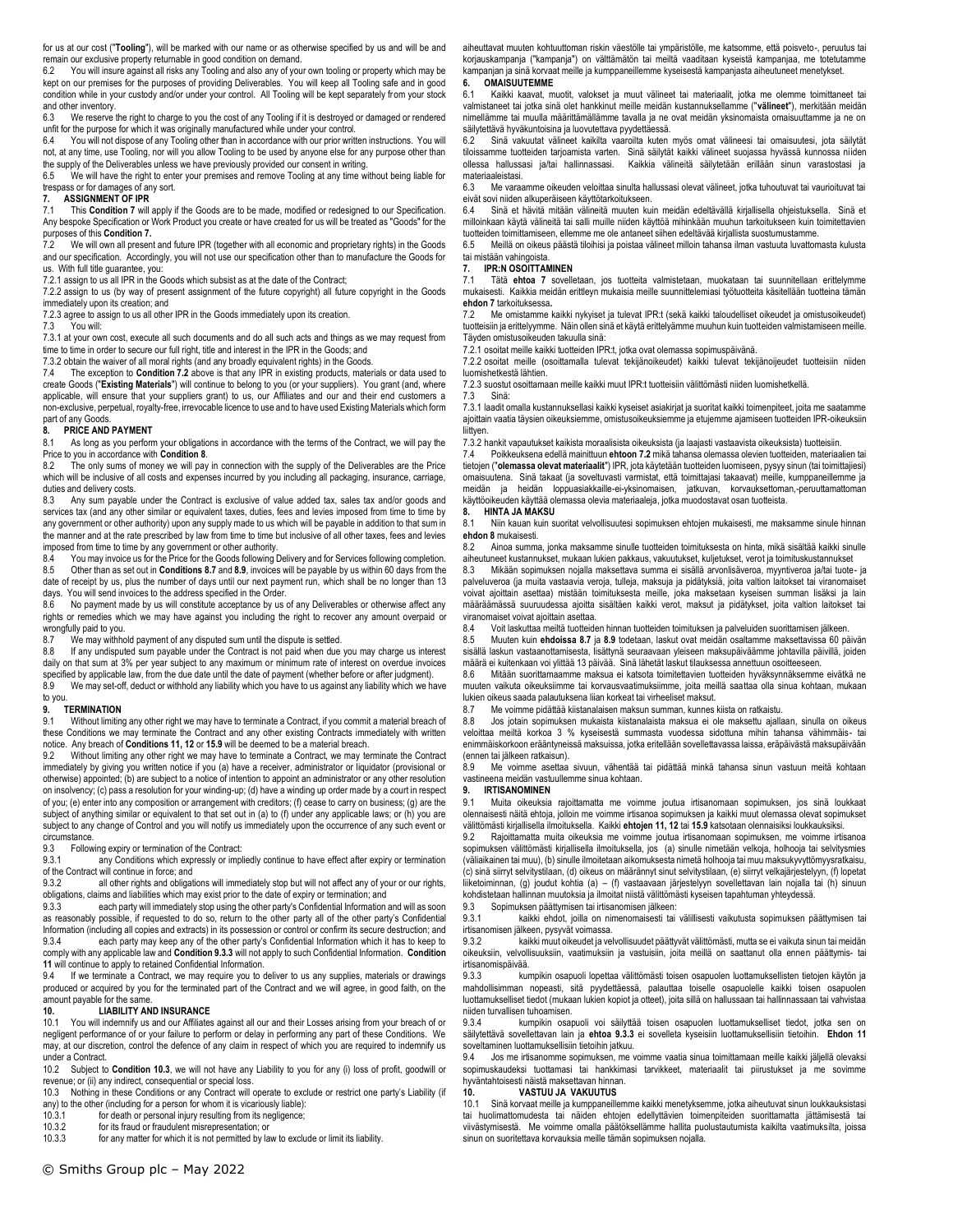for us at our cost ("**Tooling**"), will be marked with our name or as otherwise specified by us and will be and remain our exclusive property returnable in good condition on demand.

6.2 You will insure against all risks any Tooling and also any of your own tooling or property which may be kept on our premises for the purposes of providing Deliverables. You will keep all Tooling safe and in good condition while in your custody and/or under your control. All Tooling will be kept separately from your stock and other inventory.

6.3 We reserve the right to charge to you the cost of any Tooling if it is destroyed or damaged or rendered unfit for the purpose for which it was originally manufactured while under your control.

6.4 You will not dispose of any Tooling other than in accordance with our prior written instructions. You will not, at any time, use Tooling, nor will you allow Tooling to be used by anyone else for any purpose other than

the supply of the Deliverables unless we have previously provided our consent in writing.<br>6.5 We will have the right to enter your premises and remove Tooling at any time wi We will have the right to enter your premises and remove Tooling at any time without being liable for

### trespass or for damages of any sort. **7. ASSIGNMENT OF IPR**

7.1 This **Conditio[n 7](#page-2-0)** will apply if the Goods are to be made, modified or redesigned to our Specification. Any bespoke Specification or Work Product you create or have created for us will be treated as "Goods" for the purposes of this **Conditio[n 7.](#page-2-0)**

We will own all present and future IPR (together with all economic and proprietary rights) in the Goods and our specification. Accordingly, you will not use our specification other than to manufacture the Goods for us. With full title guarantee, you:

7.2.1 assign to us all IPR in the Goods which subsist as at the date of the Contract;

7.2.2 assign to us (by way of present assignment of the future copyright) all future copyright in the Goods immediately upon its creation; and

7.2.3 agree to assign to us all other IPR in the Goods immediately upon its creation.

7.3 You will:

7.3.1 at your own cost, execute all such documents and do all such acts and things as we may request from time to time in order to secure our full right, title and interest in the IPR in the Goods; and

7.3.2 obtain the waiver of all moral rights (and any broadly equivalent rights) in the Goods.

7.4 The exception to **Condition [7.2](#page-2-1)** above is that any IPR in existing products, materials or data used to create Goods ("**Existing Materials**") will continue to belong to you (or your suppliers). You grant (and, where applicable, will ensure that your suppliers grant) to us, our Affiliates and our and their end customers a non-exclusive, perpetual, royalty-free, irrevocable licence to use and to have used Existing Materials which form part of any Goods.

### **8. PRICE AND PAYMENT**<br>8.1 As long as you perform

As long as you perform your obligations in accordance with the terms of the Contract, we will pay the Price to you in accordance with **Conditio[n 8](#page-2-2)**.

8.2 The only sums of money we will pay in connection with the supply of the Deliverables are the Price which will be inclusive of all costs and expenses incurred by you including all packaging, insurance, carriage, duties and delivery costs.

8.3 Any sum payable under the Contract is exclusive of value added tax, sales tax and/or goods and services tax (and any other similar or equivalent taxes, duties, fees and levies imposed from time to time by any government or other authority) upon any supply made to us which will be payable in addition to that sum in the manner and at the rate prescribed by law from time to time but inclusive of all other taxes, fees and levies imposed from time to time by any government or other authority.

8.4 You may invoice us for the Price for the Goods following Delivery and for Services following completion.<br>8.5 Other than as set out in Conditions 8.7 and 8.9, invoices will be payable by us within 60 days from the 8.5 Other than as set out in **Condition[s 8.7](#page-2-3)** and **[8.9](#page-2-4)**, invoices will be payable by us within 60 days from the date of receipt by us, plus the number of days until our next payment run, which shall be no longer than 13 days. You will send invoices to the address specified in the Order.

8.6 No payment made by us will constitute acceptance by us of any Deliverables or otherwise affect any rights or remedies which we may have against you including the right to recover any amount overpaid or wrongfully paid to you.<br>8.7 We may withhe

8.7 We may withhold payment of any disputed sum until the dispute is settled.<br>8.8 If any undisputed sum payable under the Contract is not paid when due

If any undisputed sum payable under the Contract is not paid when due you may charge us interest daily on that sum at 3% per year subject to any maximum or minimum rate of interest on overdue invoices

specified by applicable law, from the due date until the date of payment (whether before or after judgment).<br>8.9 We may set-off, deduct or withhold any liability which you have to us against any liability which we have We may set-off, deduct or withhold any liability which you have to us against any liability which we have to you.

### **9. TERMINATION**

9.1 Without limiting any other right we may have to terminate a Contract, if you commit a material breach of these Conditions we may terminate the Contract and any other existing Contracts immediately with written notice. Any breach of **Conditions 11, 12** or **[15.9](#page-4-0)** will be deemed to be a material breach.

9.2 Without limiting any other right we may have to terminate a Contract, we may terminate the Contract immediately by giving you written notice if you (a) have a receiver, administrator or liquidator (provisional or otherwise) appointed; (b) are subject to a notice of intention to appoint an administrator or any other resolution on insolvency; (c) pass a resolution for your winding-up; (d) have a winding up order made by a court in respect of you; (e) enter into any composition or arrangement with creditors; (f) cease to carry on business; (g) are the subject of anything similar or equivalent to that set out in (a) to (f) under any applicable laws; or (h) you are subject to any change of Control and you will notify us immediately upon the occurrence of any such event or circumstance.

9.3 Following expiry or termination of the Contract:<br>9.3.1 any Conditions which expressly or implement

any Conditions which expressly or impliedly continue to have effect after expiry or termination of the Contract will continue in force; and<br>9.3.2 all other rights and obligat

all other rights and obligations will immediately stop but will not affect any of your or our rights, obligations, claims and liabilities which may exist prior to the date of expiry or termination; and

9.3.3 each party will immediately stop using the other party's Confidential Information and will as soon as reasonably possible, if requested to do so, return to the other party all of the other party's Confidential Information (including all copies and extracts) in its possession or control or confirm its secure destruction; and

9.3.4 each party may keep any of the other party's Confidential Information which it has to keep to comply with any applicable law and **Condition [9.3.3](#page-2-5)** will not apply to such Confidential Information. **Condition [11](#page-3-0)** will continue to apply to retained Confidential Information.

9.4 If we terminate a Contract, we may require you to deliver to us any supplies, materials or drawings produced or acquired by you for the terminated part of the Contract and we will agree, in good faith, on the amount payable for the same.

# **10. LIABILITY AND INSURANCE**<br>10.1 You will indemnify us and our Affiliates

You will indemnify us and our Affiliates against all our and their Losses arising from your breach of or negligent performance of or your failure to perform or delay in performing any part of these Conditions. We may, at our discretion, control the defence of any claim in respect of which you are required to indemnify us under a Contract.

10.2 Subject to **Condition [10.3](#page-3-1)**, we will not have any Liability to you for any (i) loss of profit, goodwill or revenue; or (ii) any indirect, consequential or special loss.

10.3 Nothing in these Conditions or any Contract will operate to exclude or restrict one party's Liability (if any) to the other (including for a person for whom it is vicariously liable):

10.3.1 for death or personal injury resulting from its negligence;

10.3.2 for its fraud or fraudulent misrepresentation; or 10.3.3 for any matter for which it is not permitted by law to exclude or limit its liability. aiheuttavat muuten kohtuuttoman riskin väestölle tai ympäristölle, me katsomme, että poisveto-, peruutus tai korjauskampanja ("kampanja") on välttämätön tai meiltä vaaditaan kyseistä kampanjaa, me totetutamme kampanjan ja sinä korvaat meille ja kumppaneillemme kyseisestä kampanjasta aiheutuneet menetykset.<br>6. COMAISUUTEMME

# **6. OMAISUUTEMME**

Kaikki kaavat, muotit, valokset ja muut välineet tai materiaalit, jotka me olemme toimittaneet tai valmistaneet tai jotka sinä olet hankkinut meille meidän kustannuksellamme ("**välineet**"), merkitään meidän nimellämme tai muulla määrittämällämme tavalla ja ne ovat meidän yksinomaista omaisuuttamme ja ne on säilytettävä hyväkuntoisina ja luovutettava pyydettäessä.

6.2 Sinä vakuutat välineet kaikilta vaaroilta kuten myös omat välineesi tai omaisuutesi, jota säilytät tiloissamme tuotteiden tarjoamista varten. Sinä säilytät kaikki välineet suojassa hyvässä kunnossa niiden ollessa hallussasi ja/tai hallinnassasi. Kaikkia välineitä säilytetään erillään sinun varastostasi ja materiaaleistasi.

6.3 Me varaamme oikeuden veloittaa sinulta hallussasi olevat välineet, jotka tuhoutuvat tai vaurioituvat tai eivät sovi niiden alkuperäiseen käyttötarkoitukseen.<br>6.4 Sinä et hävitä mitään välineitä muuten ku

6.4 Sinä et hävitä mitään välineitä muuten kuin meidän edeltävällä kirjallisella ohjeistuksella. Sinä et milloinkaan käytä välineitä tai salli muille niiden käyttöä mihinkään muuhun tarkoitukseen kuin toimitettavien tuotteiden toimittamiseen, ellemme me ole antaneet siihen edeltävää kirjallista suostumustamme.

6.5 Meillä on oikeus päästä tiloihisi ja poistaa välineet milloin tahansa ilman vastuuta luvattomasta kulusta tai mistään vahingoista.

# <span id="page-2-0"></span>**7. IPR:N OSOITTAMINEN**

7.1 Tätä **ehtoa [7](#page-2-0)** sovelletaan, jos tuotteita valmistetaan, muokataan tai suunnitellaan erittelymme mukaisesti. Kaikkia meidän erittleyn mukaisia meille suunnittelemiasi työtuotteita käsitellään tuotteina tämän **ehdo[n 7](#page-2-0)** tarkoituksessa**.**

<span id="page-2-1"></span>7.2 Me omistamme kaikki nykyiset ja tulevat IPR:t (sekä kaikki taloudelliset oikeudet ja omistusoikeudet) tuotteisiin ja erittelyymme. Näin ollen sinä et käytä erittelyämme muuhun kuin tuotteiden valmistamiseen meille. Täyden omistusoikeuden takuulla sinä:

7.2.1 osoitat meille kaikki tuotteiden IPR:t, jotka ovat olemassa sopimuspäivänä.

7.2.2 osoitat meille (osoittamalla tulevat tekijänoikeudet) kaikki tulevat tekijänoijeudet tuotteisiin niiden luomishetkestä lähtien.

7.2.3 suostut osoittamaan meille kaikki muut IPR:t tuotteisiin välittömästi niiden luomishetkellä.

7.3 Sinä:

7.3.1 laadit omalla kustannuksellasi kaikki kyseiset asiakirjat ja suoritat kaikki toimenpiteet, joita me saatamme ajoittain vaatia täysien oikeuksiemme, omistusoikeuksiemme ja etujemme ajamiseen tuotteiden IPR-oikeuksiin liittyen.

7.3.2 hankit vapautukset kaikista moraalisista oikeuksista (ja laajasti vastaavista oikeuksista) tuotteisiin.

7.4 Poikkeuksena edellä mainittuun **ehtoon [7.2](#page-2-1)** mikä tahansa olemassa olevien tuotteiden, materiaalien tai tietojen ("**olemassa olevat materiaalit**") IPR, jota käytetään tuotteiden luomiseen, pysyy sinun (tai toimittajiesi) omaisuutena. Sinä takaat (ja soveltuvasti varmistat, että toimittajasi takaavat) meille, kumppaneillemme ja meidän ja heidän loppuasiakkaille-ei-yksinomaisen, jatkuvan, korvauksettoman,-peruuttamattoman käyttöoikeuden käyttää olemassa olevia materiaaleja, jotka muodostavat osan tuotteista.

### <span id="page-2-2"></span>**8. HINTA JA MAKSU**

8.1 Niin kauan kuin suoritat velvollisuutesi sopimuksen ehtojen mukaisesti, me maksamme sinule hinnan **ehdo[n 8](#page-2-2)** mukaisesti.

8.2 Ainoa summa, jonka maksamme sinulle tuotteiden toimituksesta on hinta, mikä sisältää kaikki sinulle aiheutuneet kustannukset, mukaan lukien pakkaus, vakuutukset, kuljetukset, verot ja toimituskustannukset<br>8.3 Mikään sopimuksen nojalla maksettava summa ei sisällä arvonlisäveroa, myyntiveroa ja/tai tuote-

8.3 Mikään sopimuksen nojalla maksettava summa ei sisällä arvonlisäveroa, myyntiveroa ja/tai tuote- ja palveluveroa (ja muita vastaavia veroja, tulleja, maksuja ja pidätyksiä, joita valtion laitokset tai viranomaiset voivat ajoittain asettaa) mistään toimituksesta meille, joka maksetaan kyseisen summan lisäksi ja lain määräämässä suuruudessa ajoitta sisältäen kaikki verot, maksut ja pidätykset, joita valtion laitokset tai viranomaiset voivat ajoittain asettaa.

8.4 Voit laskuttaa meiltä tuotteiden hinnan tuotteiden toimituksen ja palveluiden suorittamisen jälkeen.<br>8.5 Muuten kuin ehdoissa 8.7 ja 8.9 todetaan, laskut ovat meidän osaltamme maksettavissa 60 nä

8.5 Muuten kuin **ehdoiss[a 8.7](#page-2-3)** ja **[8.9](#page-2-4)** todetaan, laskut ovat meidän osaltamme maksettavissa 60 päivän sisällä laskun vastaanottamisesta, lisättynä seuraavaan yleiseen maksupäiväämme johtavilla päivillä, joiden

määrä ei kuitenkaan voi ylittää 13 päivää. Sinä lähetät laskut tilauksessa annettuun osoitteeseen.<br>8 6 – Mitään suorittamaamme maksua ei katsota toimitettavien tuotteiden hyväksynnäksemme 8.6 Mitään suorittamaamme maksua ei katsota toimitettavien tuotteiden hyväksynnäksemme eivätkä ne muuten vaikuta oikeuksiimme tai korvausvaatimuksiimme, joita meillä saattaa olla sinua kohtaan, mukaan lukien oikeus saada palautuksena liian korkeat tai virheeliset maksut.

<span id="page-2-3"></span>8.7 Me voimme pidättää kiistanalaisen maksun summan, kunnes kiista on ratkaistu.

8.8 Jos jotain sopimuksen mukaista kiistanalaista maksua ei ole maksettu ajallaan, sinulla on oikeus veloittaa meiltä korkoa 3 % kyseisestä summasta vuodessa sidottuna mihin tahansa vähimmäis- tai enimmäiskorkoon erääntyneissä maksuissa, jotka eritellään sovellettavassa laissa, eräpäivästä maksupäivään (ennen tai jälkeen ratkaisun).

<span id="page-2-4"></span>Me voimme asettaa sivuun, vähentää tai pidättää minkä tahansa sinun vastuun meitä kohtaan vastineena meidän vastuullemme sinua kohtaan.<br>9. **IRTISANOMINEN** 

#### **9. IRTISANOMINEN**

9.1 Muita oikeuksia rajoittamatta me voimme joutua irtisanomaan sopimuksen, jos sinä loukkaat olennaisesti näitä ehtoja, jolloin me voimme irtisanoa sopimuksen ja kaikki muut olemassa olevat sopimukset välittömästi kirjallisella ilmoituksella. Kaikki **ehtojen 11, 12** tai **[15.9](#page-4-0)** katsotaan olennaisiksi loukkauksiksi.

Rajoittamatta muita oikeuksia me voimme joutua irtisanomaan sopimuksen, me voimme irtisanoa sopimuksen välittömästi kirjallisella ilmoituksella, jos (a) sinulle nimetään velkoja, holhooja tai selvitysmies (väliaikainen tai muu), (b) sinulle ilmoitetaan aikomuksesta nimetä holhooja tai muu maksukyvyttömyysratkaisu, (c) sinä siirryt selvitystilaan, (d) oikeus on määrännyt sinut selvitystilaan, (e) siirryt velkajärjestelyyn, (f) lopetat liiketoiminnan, (g) joudut kohtia (a) – (f) vastaavaan järjestelyyn sovellettavan lain nojalla tai (h) sinuun kohdistetaan hallinnan muutoksia ja ilmoitat niistä välittömästi kyseisen tapahtuman yhteydessä.

9.3 Sopimuksen päättymisen tai irtisanomisen jälkeen:

9.3.1 kaikki ehdot, joilla on nimenomaisesti tai välillisesti vaikutusta sopimuksen päättymisen tai irtisanomisen jälkeen, pysyvät voimassa.

9.3.2 kaikki muut oikeudet ja velvollisuudet päättyvät välittömästi, mutta se ei vaikuta sinun tai meidän oikeuksiin, velvollisuuksiin, vaatimuksiin ja vastuisiin, joita meillä on saattanut olla ennen päättymis- tai irtisanomispäivää.

<span id="page-2-5"></span>9.3.3 kumpikin osapuoli lopettaa välittömästi toisen osapuolen luottamuksellisten tietojen käytön ja mahdollisimman nopeasti, sitä pyydettäessä, palauttaa toiselle osapuolelle kaikki toisen osapuolen luottamukselliset tiedot (mukaan lukien kopiot ja otteet), joita sillä on hallussaan tai hallinnassaan tai vahvistaa niiden turvallisen tuhoamisen.<br>9.3.4 kumpikin osar

9.3.4 kumpikin osapuoli voi säilyttää toisen osapuolen luottamukselliset tiedot, jotka sen on säilytettävä sovellettavan lain ja **ehtoa [9.3.3](#page-2-5)** ei sovelleta kyseisiin luottamuksellisiin tietoihin. **Ehdon [11](#page-3-0)** soveltaminen luottamuksellisiin tietoihin jatkuu.<br>94. los me irtisanomme sonimuksen, me v

9.4 Jos me irtisanomme sopimuksen, me voimme vaatia sinua toimittamaan meille kaikki jäljellä olevaksi sopimuskaudeksi tuottamasi tai hankkimasi tarvikkeet, materiaalit tai piirustukset ja me sovimme hyväntahtoisesti näistä maksettavan hinnan.<br>10. VASTUU JA VAKUUTUS

#### **10. VASTUU JA VAKUUTUS**

<span id="page-2-6"></span>10.1 Sinä korvaat meille ja kumppaneillemme kaikki menetyksemme, jotka aiheutuvat sinun loukkauksistasi tai huolimattomudesta tai näiden ehtojen edellyttävien toimenpiteiden suorittamatta jättämisestä tai viivästymisestä. Me voimme omalla päätöksellämme hallita puolustautumista kaikilta vaatimuksilta, joissa sinun on suoritettava korvauksia meille tämän sopimuksen nojalla.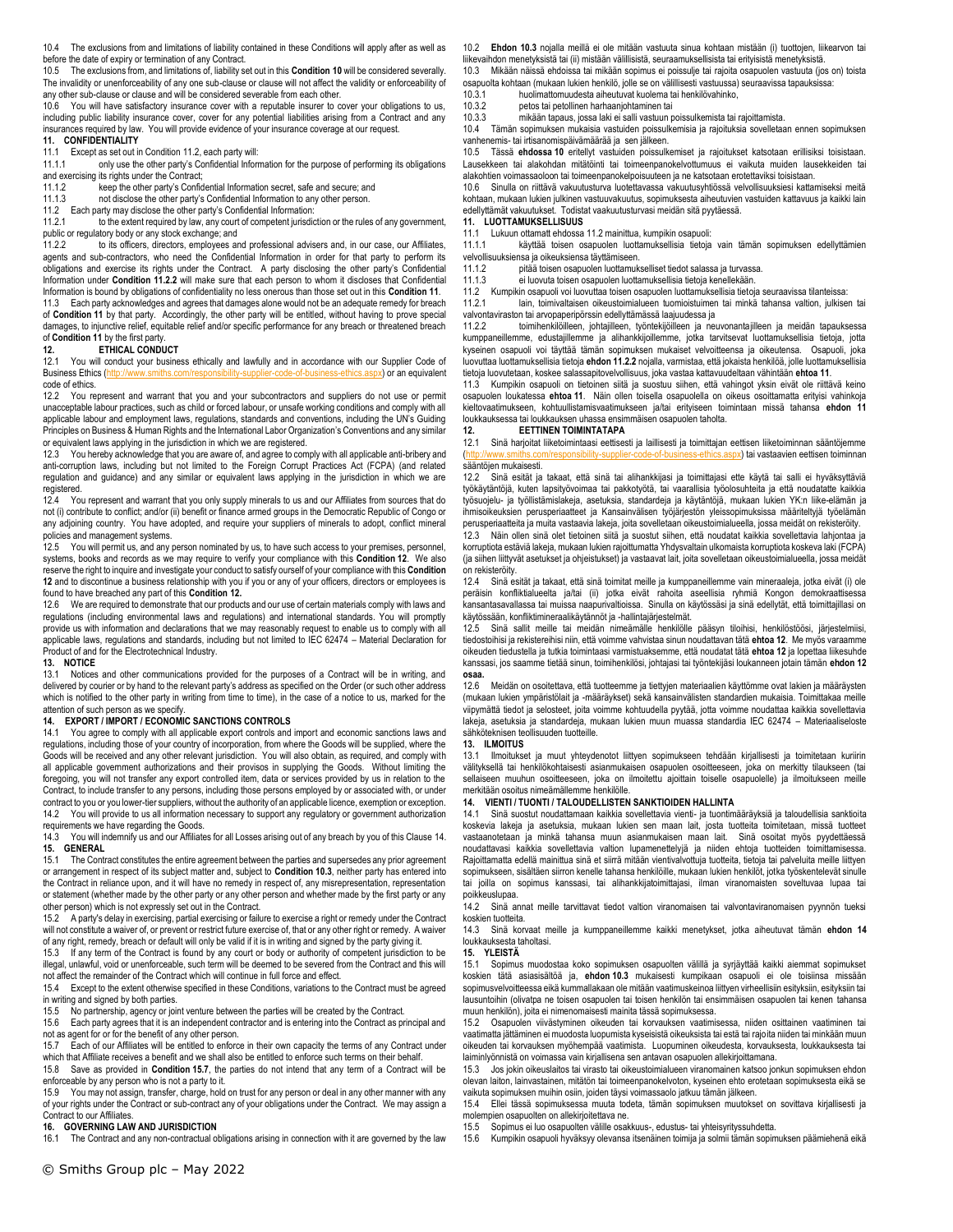10.4 The exclusions from and limitations of liability contained in these Conditions will apply after as well as before the date of expiry or termination of any Contract.

10.5 The exclusions from, and limitations of, liability set out in this **Condition [10](#page-2-6)** will be considered severally. The invalidity or unenforceability of any one sub-clause or clause will not affect the validity or enforceability of any other sub-clause or clause and will be considered severable from each other.

10.6 You will have satisfactory insurance cover with a reputable insurer to cover your obligations to us, including public liability insurance cover, cover for any potential liabilities arising from a Contract and any insurances required by law. You will provide evidence of your insurance coverage at our request.

# **11. CONFIDENTIALITY**

11.1 Except as set out in Conditio[n 11.2,](#page-3-2) each party will:

only use the other party's Confidential Information for the purpose of performing its obligations and exercising its rights under the Contract;<br>11.1.2 keep the other party's Confid

11.1.2 keep the other party's Confidential Information secret, safe and secure; and 11.1.3 not disclose the other party's Confidential Information to any other person.

11.2 Each party may disclose the other party's Confidential Information:<br>11.2.1 to the extent required by law, any court of competent iurisdic to the extent required by law, any court of competent jurisdiction or the rules of any government, public or regulatory body or any stock exchange; and<br>11.2.2 to its officers directors employees and

to its officers, directors, employees and professional advisers and, in our case, our Affiliates, agents and sub-contractors, who need the Confidential Information in order for that party to perform its obligations and exercise its rights under the Contract. A party disclosing the other party's Confidential Information under **Condition [11.2.2](#page-3-3)** will make sure that each person to whom it discloses that Confidential Information is bound by obligations of confidentiality no less onerous than those set out in this **Conditio[n 11](#page-3-0)**.

11.3 Each party acknowledges and agrees that damages alone would not be an adequate remedy for breach of **Condition [11](#page-3-0)** by that party. Accordingly, the other party will be entitled, without having to prove special damages, to injunctive relief, equitable relief and/or specific performance for any breach or threatened breach of **Conditio[n 11](#page-3-0)** by the first party.

# **12. ETHICAL CONDUCT**<br>**12.1** You will conduct your busine

12.1 You will conduct your business ethically and lawfully and in accordance with our Supplier Code of<br>Business Ethics (http://www.smiths.com/responsibility-supplier-code-of-business-ethics.aspx) or an equivalent spx) or an equivalent code of ethics.

12.2 You represent and warrant that you and your subcontractors and suppliers do not use or permit unacceptable labour practices, such as child or forced labour, or unsafe working conditions and comply with all applicable labour and employment laws, regulations, standards and conventions, including the UN's Guiding Principles on Business & Human Rights and the International Labor Organization's Conventions and any similar or equivalent laws applying in the jurisdiction in which we are registered.

12.3 You hereby acknowledge that you are aware of, and agree to comply with all applicable anti-bribery and anti-corruption laws, including but not limited to the Foreign Corrupt Practices Act (FCPA) (and related regulation and guidance) and any similar or equivalent laws applying in the jurisdiction in which we are registered.

12.4 You represent and warrant that you only supply minerals to us and our Affiliates from sources that do not (i) contribute to conflict; and/or (ii) benefit or finance armed groups in the Democratic Republic of Congo or any adjoining country. You have adopted, and require your suppliers of minerals to adopt, conflict mineral policies and management systems.

12.5 You will permit us, and any person nominated by us, to have such access to your premises, personnel, systems, books and records as we may require to verify your compliance with this **Condition [12](#page-3-4)**. We also reserve the right to inquire and investigate your conduct to satisfy ourself of your compliance with this **Condition [12](#page-3-4)** and to discontinue a business relationship with you if you or any of your officers, directors or employees is found to have breached any part of this **Conditio[n 12.](#page-3-4)** 

12.6 We are required to demonstrate that our products and our use of certain materials comply with laws and regulations (including environmental laws and regulations) and international standards. You will promptly provide us with information and declarations that we may reasonably request to enable us to comply with all applicable laws, regulations and standards, including but not limited to IEC 62474 – Material Declaration for Product of and for the Electrotechnical Industry.

#### **13. NOTICE**

13.1 Notices and other communications provided for the purposes of a Contract will be in writing, and delivered by courier or by hand to the relevant party's address as specified on the Order (or such other address which is notified to the other party in writing from time to time), in the case of a notice to us, marked for the attention of such person as we specify.

#### **14. EXPORT / IMPORT / ECONOMIC SANCTIONS CONTROLS**

14.1 You agree to comply with all applicable export controls and import and economic sanctions laws and regulations, including those of your country of incorporation, from where the Goods will be supplied, where the Goods will be received and any other relevant jurisdiction. You will also obtain, as required, and comply with all applicable government authorizations and their provisos in supplying the Goods. Without limiting the foregoing, you will not transfer any export controlled item, data or services provided by us in relation to the Contract, to include transfer to any persons, including those persons employed by or associated with, or under contract to you or you lower-tier suppliers, without the authority of an applicable licence, exemption or exception. 14.2 You will provide to us all information necessary to support any regulatory or government authorization requirements we have regarding the Goods.

14.3 You will indemnify us and our Affiliates for all Losses arising out of any breach by you of this Claus[e 14.](#page-3-5)  **15. GENERAL**

15.1 The Contract constitutes the entire agreement between the parties and supersedes any prior agreement or arrangement in respect of its subject matter and, subject to **Condition [10.3](#page-3-1)**, neither party has entered into the Contract in reliance upon, and it will have no remedy in respect of, any misrepresentation, representation or statement (whether made by the other party or any other person and whether made by the first party or any other person) which is not expressly set out in the Contract.

15.2 A party's delay in exercising, partial exercising or failure to exercise a right or remedy under the Contract will not constitute a waiver of, or prevent or restrict future exercise of, that or any other right or remedy. A waiver of any right, remedy, breach or default will only be valid if it is in writing and signed by the party giving it.

15.3 If any term of the Contract is found by any court or body or authority of competent jurisdiction to be illegal, unlawful, void or unenforceable, such term will be deemed to be severed from the Contract and this will not affect the remainder of the Contract which will continue in full force and effect.

15.4 Except to the extent otherwise specified in these Conditions, variations to the Contract must be agreed in writing and signed by both parties.

15.5 No partnership, agency or joint venture between the parties will be created by the Contract.

15.6 Each party agrees that it is an independent contractor and is entering into the Contract as principal and

not as agent for or for the benefit of any other person.<br>15.7 Each of our Affiliates will be entitled to enforce

Each of our Affiliates will be entitled to enforce in their own capacity the terms of any Contract under which that Affiliate receives a benefit and we shall also be entitled to enforce such terms on their behalf

15.8 Save as provided in **Condition [15.7](#page-4-1)**, the parties do not intend that any term of a Contract will be

enforceable by any person who is not a party to it. 15.9 You may not assign, transfer, charge, hold on trust for any person or deal in any other manner with any of your rights under the Contract or sub-contract any of your obligations under the Contract. We may assign a Contract to our Affiliates.

#### **16. GOVERNING LAW AND JURISDICTION**

16.1 The Contract and any non-contractual obligations arising in connection with it are governed by the law

10.2 **Ehdo[n 10.3](#page-3-1)** nojalla meillä ei ole mitään vastuuta sinua kohtaan mistään (i) tuottojen, liikearvon tai liikevaihdon menetyksistä tai (ii) mistään välillisistä, seuraamuksellisista tai erityisistä menetyksistä.

<span id="page-3-1"></span>10.3 Mikään näissä ehdoissa tai mikään sopimus ei poissulje tai rajoita osapuolen vastuuta (jos on) toista osapuolta kohtaan (mukaan lukien henkilö, jolle se on välillisesti vastuussa) seuraavissa tapauksissa:

- 10.3.1 huolimattomuudesta aiheutuvat kuolema tai henkilövahinko,
- 10.3.2 petos tai petollinen harhaanjohtaminen tai<br>10.3.3 mikään tanaus jossa laki ei salli vastuun n

10.3.3 mikään tapaus, jossa laki ei salli vastuun poissulkemista tai rajoittamista.

10.4 Tämän sopimuksen mukaisia vastuiden poissulkemisia ja rajoituksia sovelletaan ennen sopimuksen vanhenemis- tai irtisanomispäivämäärää ja sen jälkeen.

10.5 Tässä **ehdossa [10](#page-2-6)** eritellyt vastuiden poissulkemiset ja rajoitukset katsotaan erillisiksi toisistaan. Lausekkeen tai alakohdan mitätöinti tai toimeenpanokelvottumuus ei vaikuta muiden lausekkeiden tai alakohtien voimassaoloon tai toimeenpanokelpoisuuteen ja ne katsotaan erotettaviksi toisistaan.

10.6 Sinulla on riittävä vakuutusturva luotettavassa vakuutusyhtiössä velvollisuuksiesi kattamiseksi meitä kohtaan, mukaan lukien julkinen vastuuvakuutus, sopimuksesta aiheutuvien vastuiden kattavuus ja kaikki lain edellyttämät vakuutukset. Todistat vaakuutusturvasi meidän sitä pyytäessä.

### <span id="page-3-0"></span>**11. LUOTTAMUKSELLISUUS**

11.1 Lukuun ottamatt ehdoss[a 11.2](#page-3-2) mainittua, kumpikin osapuoli:

11.1.1 käyttää toisen osapuolen luottamuksellisia tietoja vain tämän sopimuksen edellyttämien velvollisuuksiensa ja oikeuksiensa täyttämiseen.

11.1.2 pitää toisen osapuolen luottamukselliset tiedot salassa ja turvassa.

ei luovuta toisen osapuolen luottamuksellisia tietoja kenellekään.

<span id="page-3-2"></span>11.2 Kumpikin osapuoli voi luovuttaa toisen osapuolen luottamuksellisia tietoja seuraavissa tilanteissa: 11.2.1 lain, toimivaltaisen oikeustoimialueen tuomioistuimen tai minkä tahansa valtion, julkisen tai

valvontaviraston tai arvopaperipörssin edellyttämässä laajuudessa ja

<span id="page-3-3"></span>11.2.2 toimihenkilöilleen, johtajilleen, työntekijöilleen ja neuvonantajilleen ja meidän tapauksessa kumppaneillemme, edustajillemme ja alihankkijoillemme, jotka tarvitsevat luottamuksellisia tietoja, jotta kyseinen osapuoli voi täyttää tämän sopimuksen mukaiset velvoitteensa ja oikeutensa. Osapuoli, joka luovuttaa luottamuksellisia tietoja **ehdo[n 11.2.2](#page-3-3)** nojalla, varmistaa, että jokaista henkilöä, jolle luottamuksellisia tietoja luovutetaan, koskee salassapitovelvollisuus, joka vastaa kattavuudeltaan vähintään **ehto[a 11](#page-3-0)**.

11.3 Kumpikin osapuoli on tietoinen siitä ja suostuu siihen, että vahingot yksin eivät ole riittävä keino osapuolen loukatessa **ehtoa [11](#page-3-0)**. Näin ollen toisella osapuolella on oikeus osoittamatta erityisi vahinkoja kieltovaatimukseen, kohtuullistamisvaatimukseen ja/tai erityiseen toimintaan missä tahansa **ehdon [11](#page-3-0)** loukkauksessa tai loukkauksen uhassa ensimmäisen osapuolen taholta.<br>12. KEETTINEN TOIMINTATAPA

# <span id="page-3-4"></span>**12. EETTINEN TOIMINTATAPA**

Sinä harjoitat liiketoimintaasi eettisesti ja laillisesti ja toimittajan eettisen liiketoiminnan sääntöjemme (http://www.smiths.com/responsibility-aspx) tai vastaavien eettisen toiminnan sääntöjen mukaisesti.<br>122 Sinä esität ja

12.2 Sinä esität ja takaat, että sinä tai alihankkijasi ja toimittajasi ette käytä tai salli ei hyväksyttäviä työkäytäntöjä, kuten lapsityövoimaa tai pakkotyötä, tai vaarallisia työolosuhteita ja että noudatatte kaikkia työsuojelu- ja työllistämislakeja, asetuksia, standardeja ja käytäntöjä, mukaan lukien YK:n liike-elämän ja ihmisoikeuksien perusperiaatteet ja Kansainvälisen työjärjestön yleissopimuksissa määriteltyjä työelämän perusperiaatteita ja muita vastaavia lakeja, joita sovelletaan oikeustoimialueella, jossa meidät on rekisteröity.

12.3 Näin ollen sinä olet tietoinen siitä ja suostut siihen, että noudatat kaikkia sovellettavia lahjontaa ja korruptiota estäviä lakeja, mukaan lukien rajoittumatta Yhdysvaltain ulkomaista korruptiota koskeva laki (FCPA) (ja siihen liittyvät asetukset ja ohjeistukset) ja vastaavat lait, joita sovelletaan oikeustoimialueella, jossa meidät on rekisteröity.

12.4 Sinä esität ja takaat, että sinä toimitat meille ja kumppaneillemme vain mineraaleja, jotka eivät (i) ole peräisin konfliktialueelta ja/tai (ii) jotka eivät rahoita aseellisia ryhmiä Kongon demokraattisessa kansantasavallassa tai muissa naapurivaltioissa. Sinulla on käytössäsi ja sinä edellytät, että toimittajillasi on käytössään, konfliktimineraalikäytännöt ja -hallintajärjestelmät.

12.5 Sinä sallit meille tai meidän nimeämälle henkilölle pääsyn tiloihisi, henkilöstöösi, järjestelmiisi, tiedostoihisi ja rekistereihisi niin, että voimme vahvistaa sinun noudattavan tätä **ehtoa [12](#page-3-4)**. Me myös varaamme oikeuden tiedustella ja tutkia toimintaasi varmistuaksemme, että noudatat tätä **ehto[a 12](#page-3-4)** ja lopettaa liikesuhde kanssasi, jos saamme tietää sinun, toimihenkilösi, johtajasi tai työntekijäsi loukanneen jotain tämän **ehdo[n 12](#page-3-4) osaa.** 

12.6 Meidän on osoitettava, että tuotteemme ja tiettyjen materiaalien käyttömme ovat lakien ja määräysten (mukaan lukien ympäristölait ja -määräykset) sekä kansainvälisten standardien mukaisia. Toimittakaa meille viipymättä tiedot ja selosteet, joita voimme kohtuudella pyytää, jotta voimme noudattaa kaikkia sovellettavia lakeja, asetuksia ja standardeja, mukaan lukien muun muassa standardia IEC 62474 – Materiaaliseloste sähköteknisen teollisuuden tuotteille.

#### **13. ILMOITUS**

13.1 Ilmoitukset ja muut yhteydenotot liittyen sopimukseen tehdään kirjallisesti ja toimitetaan kuriirin välityksellä tai henkilökohtaisesti asianmukaisen osapuolen osoitteeseen, joka on merkitty tilaukseen (tai sellaiseen muuhun osoitteeseen, joka on ilmoitettu ajoittain toiselle osapuolelle) ja ilmoitukseen meille merkitään osoitus nimeämällemme henkilölle.

#### <span id="page-3-5"></span>**14. VIENTI / TUONTI / TALOUDELLISTEN SANKTIOIDEN HALLINTA**

14.1 Sinä suostut noudattamaan kaikkia sovellettavia vienti- ja tuontimääräyksiä ja taloudellisia sanktioita koskevia lakeja ja asetuksia, mukaan lukien sen maan lait, josta tuotteita toimitetaan, missä tuottee vastaanotetaan ja minkä tahansa muun asianmukaisen maan lait. Sinä osoitat myös pyydettäessä noudattavasi kaikkia sovellettavia valtion lupamenettelyjä ja niiden ehtoja tuotteiden toimittamisessa. Rajoittamatta edellä mainittua sinä et siirrä mitään vientivalvottuja tuotteita, tietoja tai palveluita meille liittyen sopimukseen, sisältäen siirron kenelle tahansa henkilöille, mukaan lukien henkilöt, jotka työskentelevät sinulle tai joilla on sopimus kanssasi, tai alihankkijatoimittajasi, ilman viranomaisten soveltuvaa lupaa tai poikkeuslupaa.

14.2 Sinä annat meille tarvittavat tiedot valtion viranomaisen tai valvontaviranomaisen pyynnön tueksi koskien tuotteita.

14.3 Sinä korvaat meille ja kumppaneillemme kaikki menetykset, jotka aiheutuvat tämän **ehdon [14](#page-3-5)** loukkauksesta taholtasi.

#### **15. YLEISTÄ**

15.1 Sopimus muodostaa koko sopimuksen osapuolten välillä ja syrjäyttää kaikki aiemmat sopimukset koskien tätä asiasisältöä ja, **ehdon [10.3](#page-3-1)** mukaisesti kumpikaan osapuoli ei ole toisiinsa missään sopimusvelvoitteessa eikä kummallakaan ole mitään vaatimuskeinoa liittyen virheellisiin esityksiin, esityksiin tai lausuntoihin (olivatpa ne toisen osapuolen tai toisen henkilön tai ensimmäisen osapuolen tai kenen tahansa muun henkilön), joita ei nimenomaisesti mainita tässä sopimuksessa.

15.2 Osapuolen viivästyminen oikeuden tai korvauksen vaatimisessa, niiden osittainen vaatiminen tai vaatimatta jättäminen ei muodosta luopumista kyseisistä oikeuksista tai estä tai rajoita niiden tai minkään muun oikeuden tai korvauksen myöhempää vaatimista. Luopuminen oikeudesta, korvauksesta, loukkauksesta tai laiminlyönnistä on voimassa vain kirjallisena sen antavan osapuolen allekirjoittamana.

15.3 Jos jokin oikeuslaitos tai virasto tai oikeustoimialueen viranomainen katsoo jonkun sopimuksen ehdon olevan laiton, lainvastainen, mitätön tai toimeenpanokelvoton, kyseinen ehto erotetaan sopimuksesta eikä se vaikuta sopimuksen muihin osiin, joiden täysi voimassaolo jatkuu tämän jälkeen.

15.4 Ellei tässä sopimuksessa muuta todeta, tämän sopimuksen muutokset on sovittava kirjallisesti ja molempien osapuolten on allekirjoitettava ne.

15.5 Sopimus ei luo osapuolten välille osakkuus-, edustus- tai yhteisyrityssuhdetta.

15.6 Kumpikin osapuoli hyväksyy olevansa itsenäinen toimija ja solmii tämän sopimuksen päämiehenä eikä